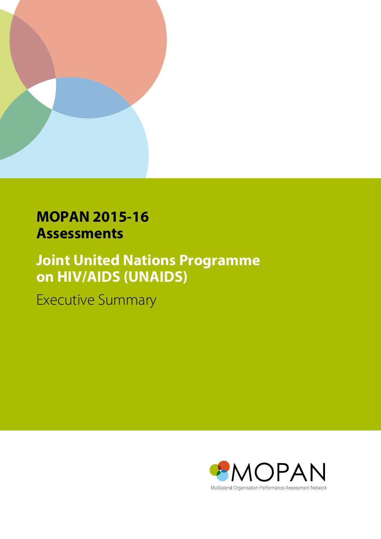

# **MOPAN 2015-16 Assessments**

# **Joint United Nations Programme on HIV/AIDS (UNAIDS)**

Executive Summary

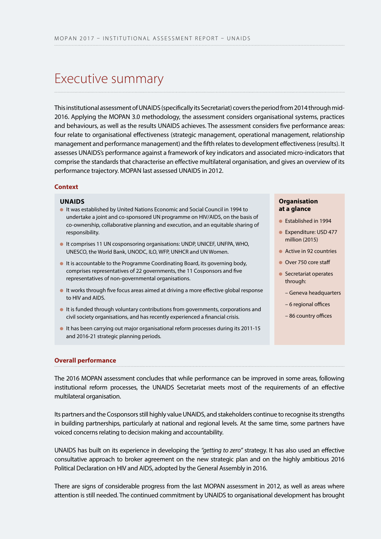# Executive summary

This institutional assessment of UNAIDS (specifically its Secretariat) covers the period from 2014 through mid-2016. Applying the MOPAN 3.0 methodology, the assessment considers organisational systems, practices and behaviours, as well as the results UNAIDS achieves. The assessment considers five performance areas: four relate to organisational effectiveness (strategic management, operational management, relationship management and performance management) and the fifth relates to development effectiveness (results). It assesses UNAIDS's performance against a framework of key indicators and associated micro-indicators that comprise the standards that characterise an effective multilateral organisation, and gives an overview of its performance trajectory. MOPAN last assessed UNAIDS in 2012.

### **Context**

#### **UNAIDS**

- **It was established by United Nations Economic and Social Council in 1994 to** undertake a joint and co-sponsored UN programme on HIV/AIDS, on the basis of co-ownership, collaborative planning and execution, and an equitable sharing of responsibility.
- **I**t comprises 11 UN cosponsoring organisations: UNDP, UNICEF, UNFPA, WHO, UNESCO, the World Bank, UNODC, ILO, WFP, UNHCR and UN Women.
- **It is accountable to the Programme Coordinating Board, its governing body,** comprises representatives of 22 governments, the 11 Cosponsors and five representatives of non-governmental organisations.
- It works through five focus areas aimed at driving a more effective global response to HIV and AIDS.
- $\bullet$  It is funded through voluntary contributions from governments, corporations and civil society organisations, and has recently experienced a financial crisis.
- $\bullet$  It has been carrying out major organisational reform processes during its 2011-15 and 2016-21 strategic planning periods.

#### **Organisation at a glance**

- **Established in 1994**
- Expenditure: USD 477 million (2015)
- $\bullet$  Active in 92 countries
- **Over 750 core staff**
- $\bullet$  Secretariat operates through:
	- Geneva headquarters
	- 6 regional offices
	- 86 country offices

#### **Overall performance**

The 2016 MOPAN assessment concludes that while performance can be improved in some areas, following institutional reform processes, the UNAIDS Secretariat meets most of the requirements of an effective multilateral organisation.

Its partners and the Cosponsors still highly value UNAIDS, and stakeholders continue to recognise its strengths in building partnerships, particularly at national and regional levels. At the same time, some partners have voiced concerns relating to decision making and accountability.

UNAIDS has built on its experience in developing the *"getting to zero"* strategy. It has also used an effective consultative approach to broker agreement on the new strategic plan and on the highly ambitious 2016 Political Declaration on HIV and AIDS, adopted by the General Assembly in 2016.

There are signs of considerable progress from the last MOPAN assessment in 2012, as well as areas where attention is still needed. The continued commitment by UNAIDS to organisational development has brought